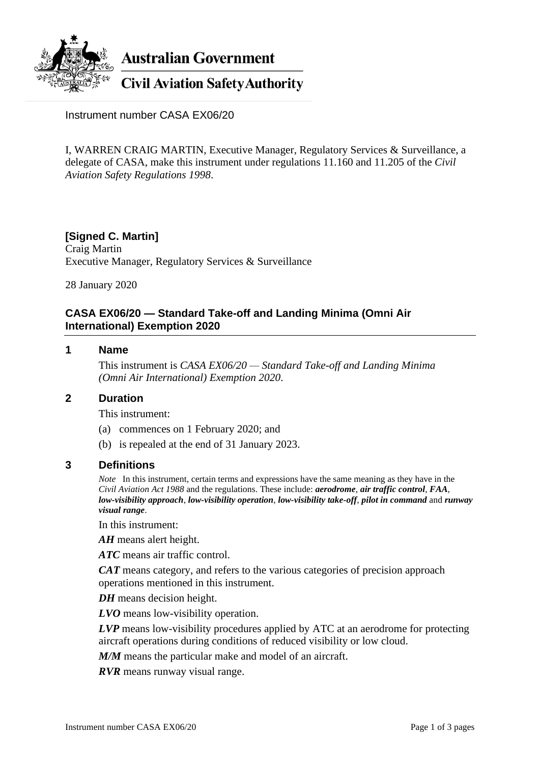

**Australian Government** 

**Civil Aviation Safety Authority** 

Instrument number CASA EX06/20

I, WARREN CRAIG MARTIN, Executive Manager, Regulatory Services & Surveillance, a delegate of CASA, make this instrument under regulations 11.160 and 11.205 of the *Civil Aviation Safety Regulations 1998*.

# **[Signed C. Martin]**

Craig Martin Executive Manager, Regulatory Services & Surveillance

28 January 2020

## **CASA EX06/20 — Standard Take-off and Landing Minima (Omni Air International) Exemption 2020**

## **1 Name**

This instrument is *CASA EX06/20 — Standard Take-off and Landing Minima (Omni Air International) Exemption 2020*.

## **2 Duration**

This instrument:

- (a) commences on 1 February 2020; and
- (b) is repealed at the end of 31 January 2023.

#### **3 Definitions**

*Note* In this instrument, certain terms and expressions have the same meaning as they have in the *Civil Aviation Act 1988* and the regulations. These include: *aerodrome*, *air traffic control*, *FAA*, *low-visibility approach*, *low-visibility operation*, *low-visibility take-off*, *pilot in command* and *runway visual range*.

In this instrument:

*AH* means alert height.

*ATC* means air traffic control.

*CAT* means category, and refers to the various categories of precision approach operations mentioned in this instrument.

*DH* means decision height.

*LVO* means low-visibility operation.

*LVP* means low-visibility procedures applied by ATC at an aerodrome for protecting aircraft operations during conditions of reduced visibility or low cloud.

*M/M* means the particular make and model of an aircraft.

*RVR* means runway visual range.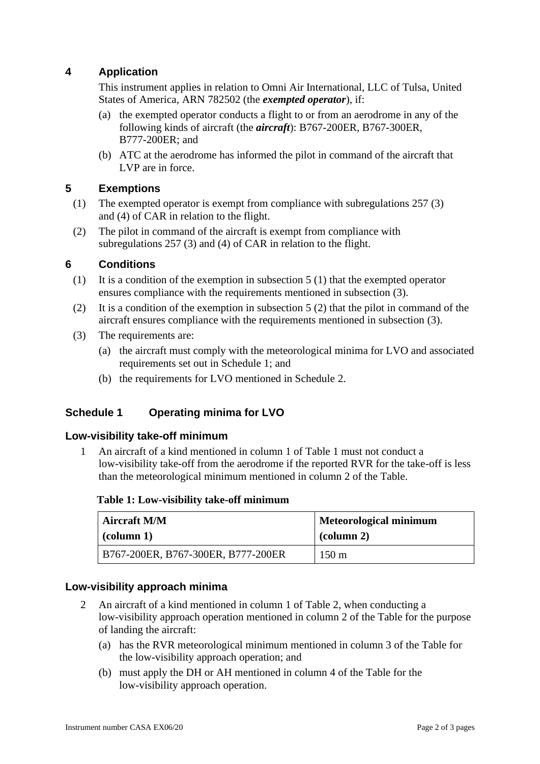# **4 Application**

This instrument applies in relation to Omni Air International, LLC of Tulsa, United States of America, ARN 782502 (the *exempted operator*), if:

- (a) the exempted operator conducts a flight to or from an aerodrome in any of the following kinds of aircraft (the *aircraft*): B767-200ER, B767-300ER, B777-200ER; and
- (b) ATC at the aerodrome has informed the pilot in command of the aircraft that LVP are in force.

## **5 Exemptions**

- (1) The exempted operator is exempt from compliance with subregulations 257 (3) and (4) of CAR in relation to the flight.
- (2) The pilot in command of the aircraft is exempt from compliance with subregulations 257 (3) and (4) of CAR in relation to the flight.

#### **6 Conditions**

- (1) It is a condition of the exemption in subsection 5 (1) that the exempted operator ensures compliance with the requirements mentioned in subsection (3).
- (2) It is a condition of the exemption in subsection  $5(2)$  that the pilot in command of the aircraft ensures compliance with the requirements mentioned in subsection (3).
- (3) The requirements are:
	- (a) the aircraft must comply with the meteorological minima for LVO and associated requirements set out in Schedule 1; and
	- (b) the requirements for LVO mentioned in Schedule 2.

## **Schedule 1 Operating minima for LVO**

#### **Low-visibility take-off minimum**

1 An aircraft of a kind mentioned in column 1 of Table 1 must not conduct a low-visibility take-off from the aerodrome if the reported RVR for the take-off is less than the meteorological minimum mentioned in column 2 of the Table.

#### **Table 1: Low-visibility take-off minimum**

| <b>Aircraft M/M</b>                | Meteorological minimum |  |
|------------------------------------|------------------------|--|
| $\vert$ (column 1)                 | $\alpha$ (column 2)    |  |
| B767-200ER, B767-300ER, B777-200ER | $150 \text{ m}$        |  |

#### **Low-visibility approach minima**

- 2 An aircraft of a kind mentioned in column 1 of Table 2, when conducting a low-visibility approach operation mentioned in column 2 of the Table for the purpose of landing the aircraft:
	- (a) has the RVR meteorological minimum mentioned in column 3 of the Table for the low-visibility approach operation; and
	- (b) must apply the DH or AH mentioned in column 4 of the Table for the low-visibility approach operation.